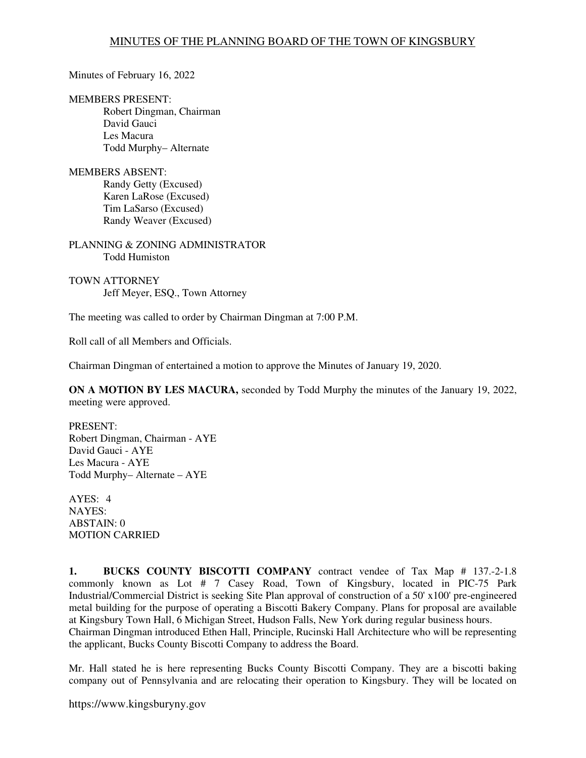Minutes of February 16, 2022

MEMBERS PRESENT:

Robert Dingman, Chairman David Gauci Les Macura Todd Murphy– Alternate

MEMBERS ABSENT: Randy Getty (Excused) Karen LaRose (Excused) Tim LaSarso (Excused) Randy Weaver (Excused)

PLANNING & ZONING ADMINISTRATOR Todd Humiston

TOWN ATTORNEY Jeff Meyer, ESQ., Town Attorney

The meeting was called to order by Chairman Dingman at 7:00 P.M.

Roll call of all Members and Officials.

Chairman Dingman of entertained a motion to approve the Minutes of January 19, 2020.

**ON A MOTION BY LES MACURA,** seconded by Todd Murphy the minutes of the January 19, 2022, meeting were approved.

PRESENT: Robert Dingman, Chairman - AYE David Gauci - AYE Les Macura - AYE Todd Murphy– Alternate – AYE

AYES: 4 NAYES: ABSTAIN: 0 MOTION CARRIED

**1. BUCKS COUNTY BISCOTTI COMPANY** contract vendee of Tax Map # 137.-2-1.8 commonly known as Lot # 7 Casey Road, Town of Kingsbury, located in PIC-75 Park Industrial/Commercial District is seeking Site Plan approval of construction of a 50' x100' pre-engineered metal building for the purpose of operating a Biscotti Bakery Company. Plans for proposal are available at Kingsbury Town Hall, 6 Michigan Street, Hudson Falls, New York during regular business hours. Chairman Dingman introduced Ethen Hall, Principle, Rucinski Hall Architecture who will be representing the applicant, Bucks County Biscotti Company to address the Board.

Mr. Hall stated he is here representing Bucks County Biscotti Company. They are a biscotti baking company out of Pennsylvania and are relocating their operation to Kingsbury. They will be located on

https://www.kingsburyny.gov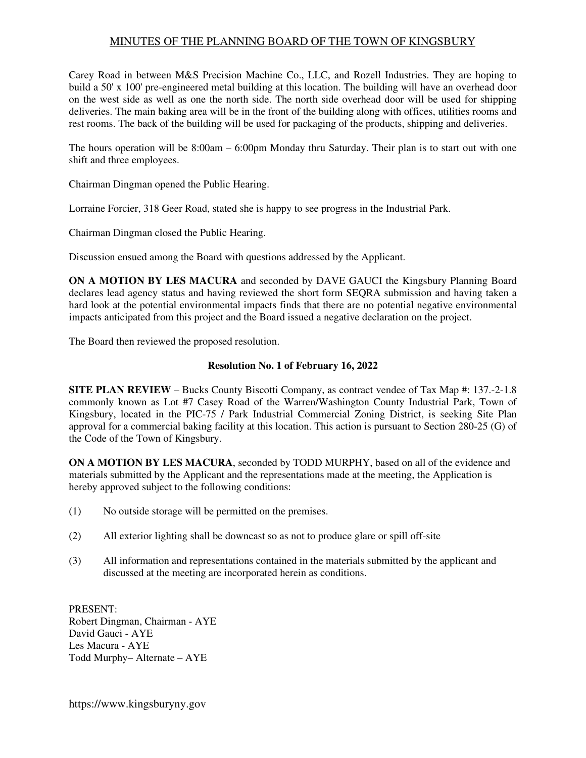## MINUTES OF THE PLANNING BOARD OF THE TOWN OF KINGSBURY

Carey Road in between M&S Precision Machine Co., LLC, and Rozell Industries. They are hoping to build a 50' x 100' pre-engineered metal building at this location. The building will have an overhead door on the west side as well as one the north side. The north side overhead door will be used for shipping deliveries. The main baking area will be in the front of the building along with offices, utilities rooms and rest rooms. The back of the building will be used for packaging of the products, shipping and deliveries.

The hours operation will be 8:00am – 6:00pm Monday thru Saturday. Their plan is to start out with one shift and three employees.

Chairman Dingman opened the Public Hearing.

Lorraine Forcier, 318 Geer Road, stated she is happy to see progress in the Industrial Park.

Chairman Dingman closed the Public Hearing.

Discussion ensued among the Board with questions addressed by the Applicant.

**ON A MOTION BY LES MACURA** and seconded by DAVE GAUCI the Kingsbury Planning Board declares lead agency status and having reviewed the short form SEQRA submission and having taken a hard look at the potential environmental impacts finds that there are no potential negative environmental impacts anticipated from this project and the Board issued a negative declaration on the project.

The Board then reviewed the proposed resolution.

## **Resolution No. 1 of February 16, 2022**

**SITE PLAN REVIEW** – Bucks County Biscotti Company, as contract vendee of Tax Map #: 137.-2-1.8 commonly known as Lot #7 Casey Road of the Warren/Washington County Industrial Park, Town of Kingsbury, located in the PIC-75 / Park Industrial Commercial Zoning District, is seeking Site Plan approval for a commercial baking facility at this location. This action is pursuant to Section 280-25 (G) of the Code of the Town of Kingsbury.

**ON A MOTION BY LES MACURA**, seconded by TODD MURPHY, based on all of the evidence and materials submitted by the Applicant and the representations made at the meeting, the Application is hereby approved subject to the following conditions:

- (1) No outside storage will be permitted on the premises.
- (2) All exterior lighting shall be downcast so as not to produce glare or spill off-site
- (3) All information and representations contained in the materials submitted by the applicant and discussed at the meeting are incorporated herein as conditions.

PRESENT: Robert Dingman, Chairman - AYE David Gauci - AYE Les Macura - AYE Todd Murphy– Alternate – AYE

https://www.kingsburyny.gov